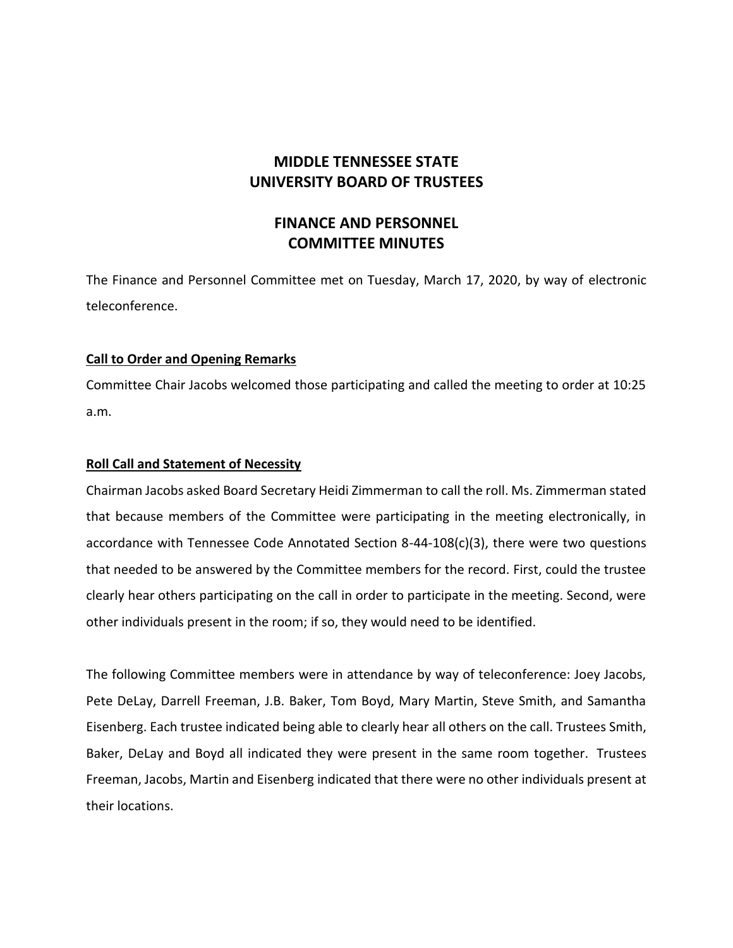# **MIDDLE TENNESSEE STATE UNIVERSITY BOARD OF TRUSTEES**

## **FINANCE AND PERSONNEL COMMITTEE MINUTES**

The Finance and Personnel Committee met on Tuesday, March 17, 2020, by way of electronic teleconference.

## **Call to Order and Opening Remarks**

Committee Chair Jacobs welcomed those participating and called the meeting to order at 10:25 a.m.

### **Roll Call and Statement of Necessity**

Chairman Jacobs asked Board Secretary Heidi Zimmerman to call the roll. Ms. Zimmerman stated that because members of the Committee were participating in the meeting electronically, in accordance with Tennessee Code Annotated Section 8-44-108(c)(3), there were two questions that needed to be answered by the Committee members for the record. First, could the trustee clearly hear others participating on the call in order to participate in the meeting. Second, were other individuals present in the room; if so, they would need to be identified.

The following Committee members were in attendance by way of teleconference: Joey Jacobs, Pete DeLay, Darrell Freeman, J.B. Baker, Tom Boyd, Mary Martin, Steve Smith, and Samantha Eisenberg. Each trustee indicated being able to clearly hear all others on the call. Trustees Smith, Baker, DeLay and Boyd all indicated they were present in the same room together. Trustees Freeman, Jacobs, Martin and Eisenberg indicated that there were no other individuals present at their locations.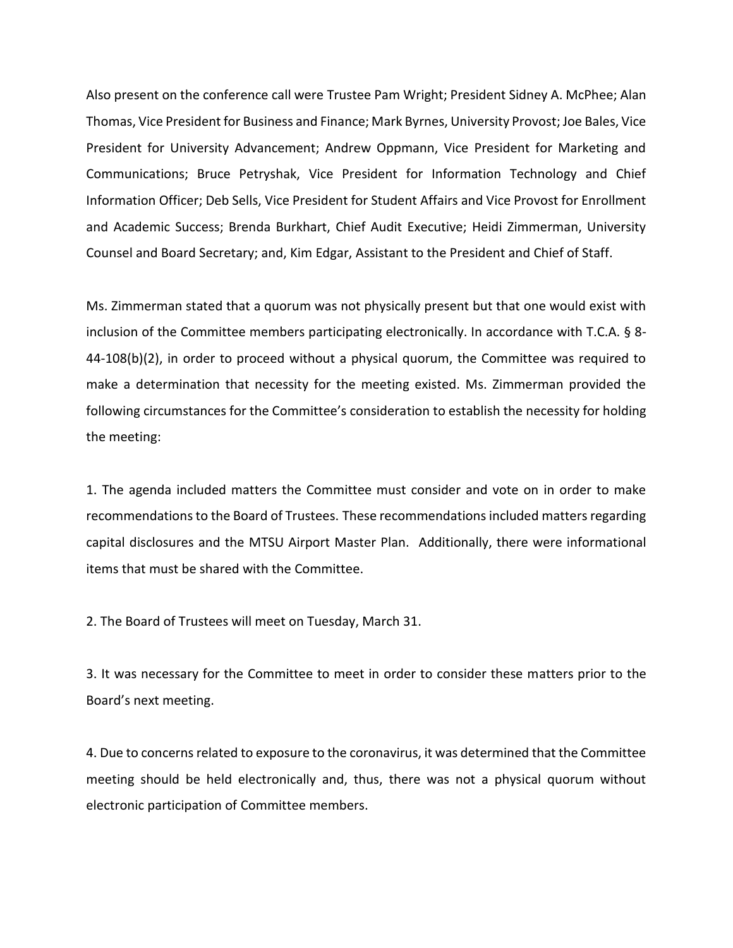Also present on the conference call were Trustee Pam Wright; President Sidney A. McPhee; Alan Thomas, Vice President for Business and Finance; Mark Byrnes, University Provost; Joe Bales, Vice President for University Advancement; Andrew Oppmann, Vice President for Marketing and Communications; Bruce Petryshak, Vice President for Information Technology and Chief Information Officer; Deb Sells, Vice President for Student Affairs and Vice Provost for Enrollment and Academic Success; Brenda Burkhart, Chief Audit Executive; Heidi Zimmerman, University Counsel and Board Secretary; and, Kim Edgar, Assistant to the President and Chief of Staff.

Ms. Zimmerman stated that a quorum was not physically present but that one would exist with inclusion of the Committee members participating electronically. In accordance with T.C.A. § 8- 44-108(b)(2), in order to proceed without a physical quorum, the Committee was required to make a determination that necessity for the meeting existed. Ms. Zimmerman provided the following circumstances for the Committee's consideration to establish the necessity for holding the meeting:

1. The agenda included matters the Committee must consider and vote on in order to make recommendations to the Board of Trustees. These recommendations included matters regarding capital disclosures and the MTSU Airport Master Plan. Additionally, there were informational items that must be shared with the Committee.

2. The Board of Trustees will meet on Tuesday, March 31.

3. It was necessary for the Committee to meet in order to consider these matters prior to the Board's next meeting.

4. Due to concerns related to exposure to the coronavirus, it was determined that the Committee meeting should be held electronically and, thus, there was not a physical quorum without electronic participation of Committee members.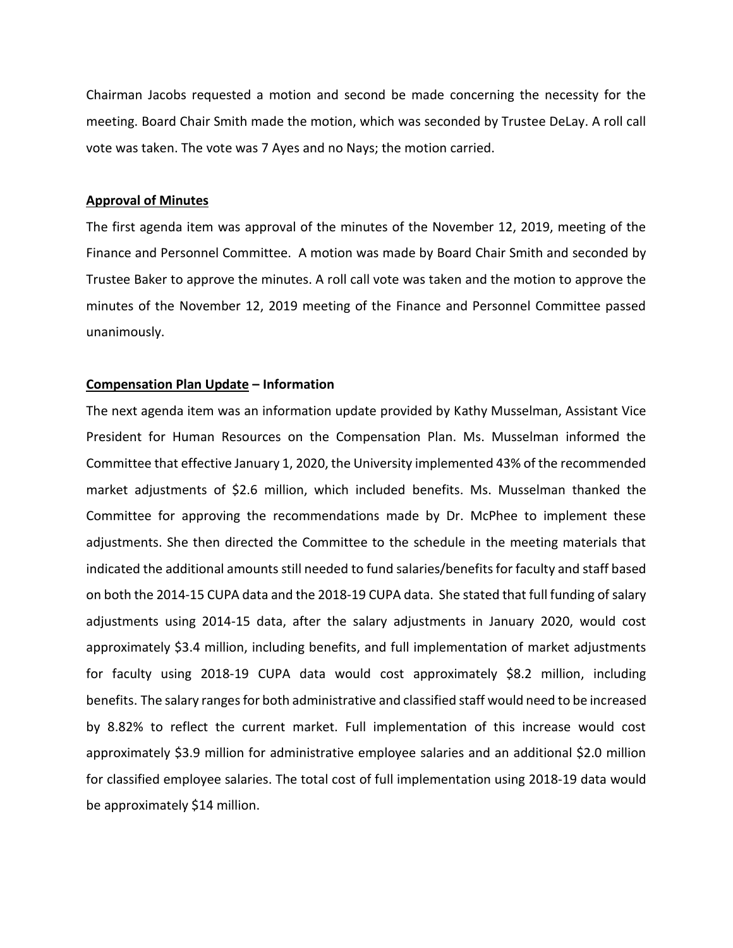Chairman Jacobs requested a motion and second be made concerning the necessity for the meeting. Board Chair Smith made the motion, which was seconded by Trustee DeLay. A roll call vote was taken. The vote was 7 Ayes and no Nays; the motion carried.

#### **Approval of Minutes**

The first agenda item was approval of the minutes of the November 12, 2019, meeting of the Finance and Personnel Committee. A motion was made by Board Chair Smith and seconded by Trustee Baker to approve the minutes. A roll call vote was taken and the motion to approve the minutes of the November 12, 2019 meeting of the Finance and Personnel Committee passed unanimously.

### **Compensation Plan Update – Information**

The next agenda item was an information update provided by Kathy Musselman, Assistant Vice President for Human Resources on the Compensation Plan. Ms. Musselman informed the Committee that effective January 1, 2020, the University implemented 43% of the recommended market adjustments of \$2.6 million, which included benefits. Ms. Musselman thanked the Committee for approving the recommendations made by Dr. McPhee to implement these adjustments. She then directed the Committee to the schedule in the meeting materials that indicated the additional amounts still needed to fund salaries/benefits for faculty and staff based on both the 2014-15 CUPA data and the 2018-19 CUPA data. She stated that full funding of salary adjustments using 2014-15 data, after the salary adjustments in January 2020, would cost approximately \$3.4 million, including benefits, and full implementation of market adjustments for faculty using 2018-19 CUPA data would cost approximately \$8.2 million, including benefits. The salary ranges for both administrative and classified staff would need to be increased by 8.82% to reflect the current market. Full implementation of this increase would cost approximately \$3.9 million for administrative employee salaries and an additional \$2.0 million for classified employee salaries. The total cost of full implementation using 2018-19 data would be approximately \$14 million.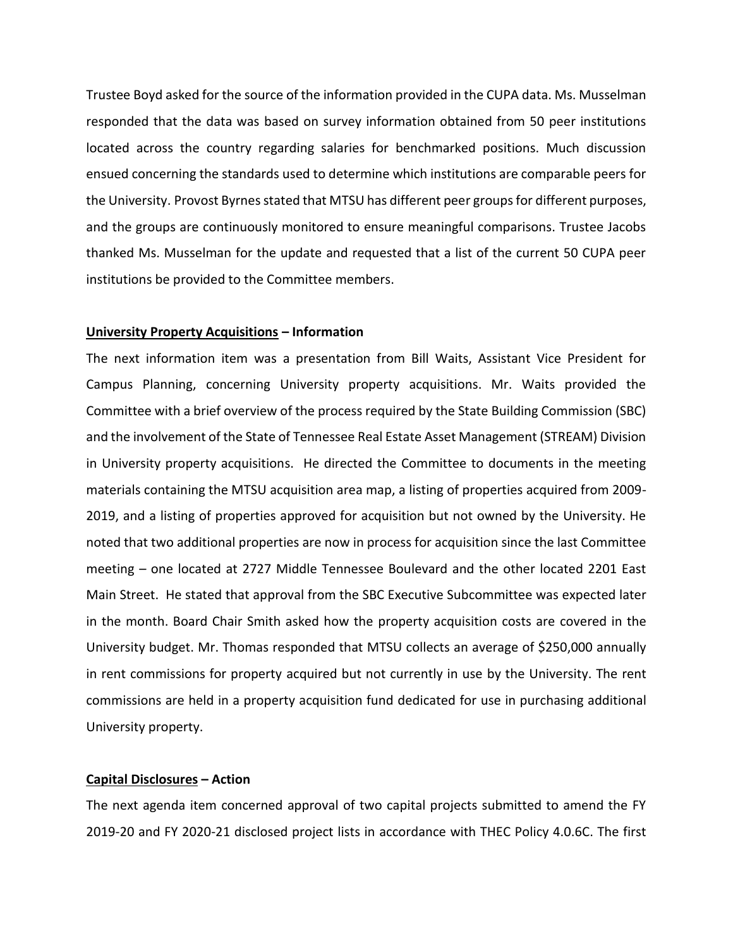Trustee Boyd asked for the source of the information provided in the CUPA data. Ms. Musselman responded that the data was based on survey information obtained from 50 peer institutions located across the country regarding salaries for benchmarked positions. Much discussion ensued concerning the standards used to determine which institutions are comparable peers for the University. Provost Byrnes stated that MTSU has different peer groups for different purposes, and the groups are continuously monitored to ensure meaningful comparisons. Trustee Jacobs thanked Ms. Musselman for the update and requested that a list of the current 50 CUPA peer institutions be provided to the Committee members.

#### **University Property Acquisitions – Information**

The next information item was a presentation from Bill Waits, Assistant Vice President for Campus Planning, concerning University property acquisitions. Mr. Waits provided the Committee with a brief overview of the process required by the State Building Commission (SBC) and the involvement of the State of Tennessee Real Estate Asset Management (STREAM) Division in University property acquisitions. He directed the Committee to documents in the meeting materials containing the MTSU acquisition area map, a listing of properties acquired from 2009- 2019, and a listing of properties approved for acquisition but not owned by the University. He noted that two additional properties are now in process for acquisition since the last Committee meeting – one located at 2727 Middle Tennessee Boulevard and the other located 2201 East Main Street. He stated that approval from the SBC Executive Subcommittee was expected later in the month. Board Chair Smith asked how the property acquisition costs are covered in the University budget. Mr. Thomas responded that MTSU collects an average of \$250,000 annually in rent commissions for property acquired but not currently in use by the University. The rent commissions are held in a property acquisition fund dedicated for use in purchasing additional University property.

### **Capital Disclosures – Action**

The next agenda item concerned approval of two capital projects submitted to amend the FY 2019-20 and FY 2020-21 disclosed project lists in accordance with THEC Policy 4.0.6C. The first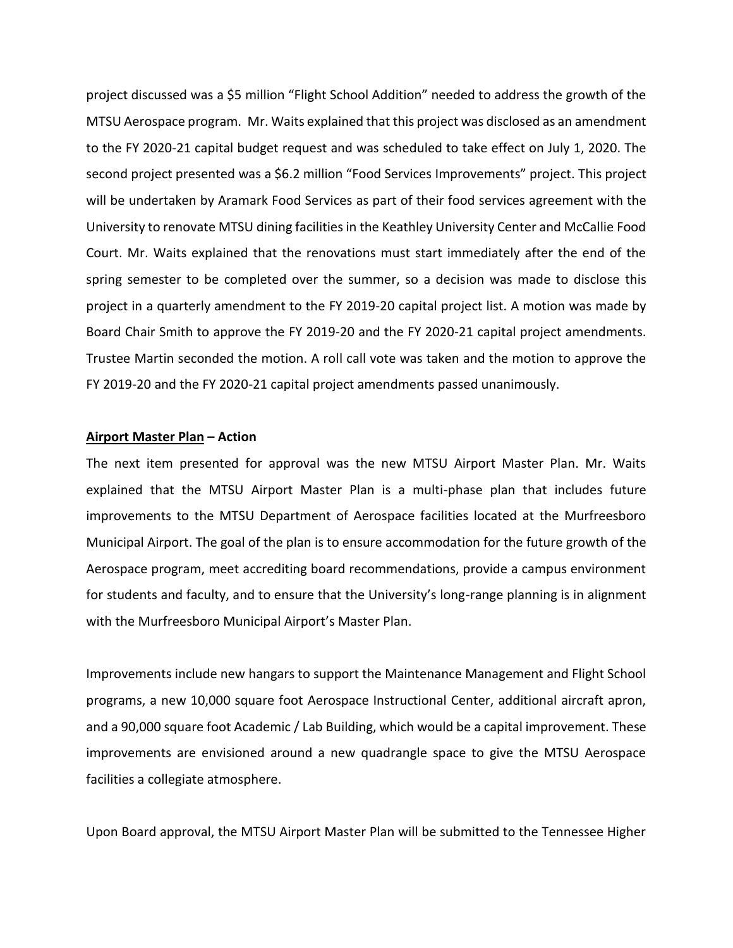project discussed was a \$5 million "Flight School Addition" needed to address the growth of the MTSU Aerospace program. Mr. Waits explained that this project was disclosed as an amendment to the FY 2020-21 capital budget request and was scheduled to take effect on July 1, 2020. The second project presented was a \$6.2 million "Food Services Improvements" project. This project will be undertaken by Aramark Food Services as part of their food services agreement with the University to renovate MTSU dining facilities in the Keathley University Center and McCallie Food Court. Mr. Waits explained that the renovations must start immediately after the end of the spring semester to be completed over the summer, so a decision was made to disclose this project in a quarterly amendment to the FY 2019-20 capital project list. A motion was made by Board Chair Smith to approve the FY 2019-20 and the FY 2020-21 capital project amendments. Trustee Martin seconded the motion. A roll call vote was taken and the motion to approve the FY 2019-20 and the FY 2020-21 capital project amendments passed unanimously.

#### **Airport Master Plan – Action**

The next item presented for approval was the new MTSU Airport Master Plan. Mr. Waits explained that the MTSU Airport Master Plan is a multi-phase plan that includes future improvements to the MTSU Department of Aerospace facilities located at the Murfreesboro Municipal Airport. The goal of the plan is to ensure accommodation for the future growth of the Aerospace program, meet accrediting board recommendations, provide a campus environment for students and faculty, and to ensure that the University's long-range planning is in alignment with the Murfreesboro Municipal Airport's Master Plan.

Improvements include new hangars to support the Maintenance Management and Flight School programs, a new 10,000 square foot Aerospace Instructional Center, additional aircraft apron, and a 90,000 square foot Academic / Lab Building, which would be a capital improvement. These improvements are envisioned around a new quadrangle space to give the MTSU Aerospace facilities a collegiate atmosphere.

Upon Board approval, the MTSU Airport Master Plan will be submitted to the Tennessee Higher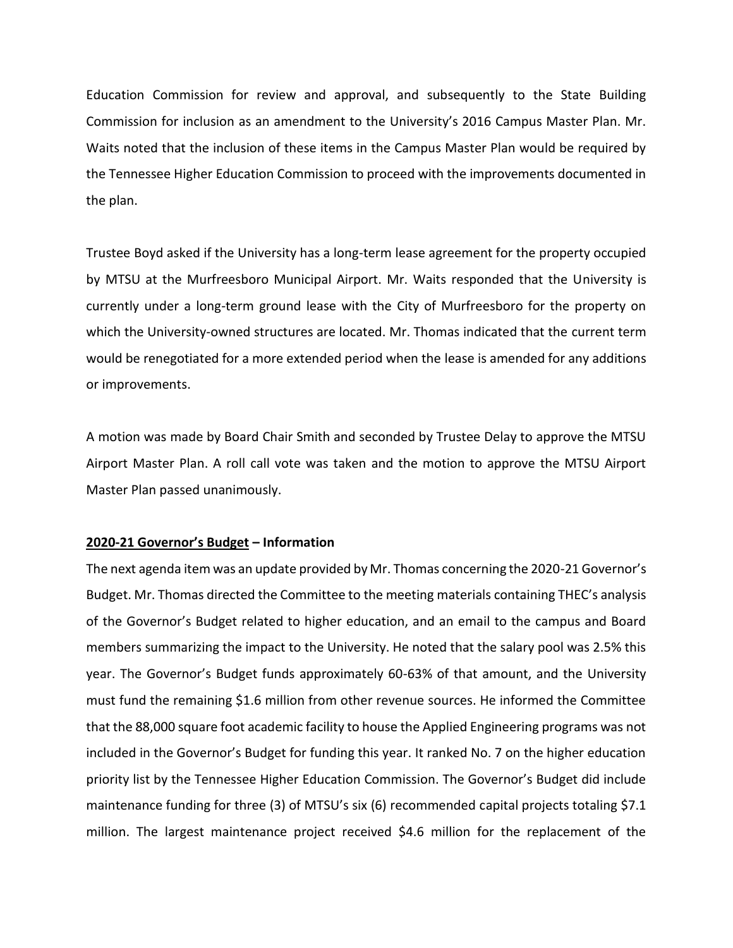Education Commission for review and approval, and subsequently to the State Building Commission for inclusion as an amendment to the University's 2016 Campus Master Plan. Mr. Waits noted that the inclusion of these items in the Campus Master Plan would be required by the Tennessee Higher Education Commission to proceed with the improvements documented in the plan.

Trustee Boyd asked if the University has a long-term lease agreement for the property occupied by MTSU at the Murfreesboro Municipal Airport. Mr. Waits responded that the University is currently under a long-term ground lease with the City of Murfreesboro for the property on which the University-owned structures are located. Mr. Thomas indicated that the current term would be renegotiated for a more extended period when the lease is amended for any additions or improvements.

A motion was made by Board Chair Smith and seconded by Trustee Delay to approve the MTSU Airport Master Plan. A roll call vote was taken and the motion to approve the MTSU Airport Master Plan passed unanimously.

### **2020-21 Governor's Budget – Information**

The next agenda item was an update provided by Mr. Thomas concerning the 2020-21 Governor's Budget. Mr. Thomas directed the Committee to the meeting materials containing THEC's analysis of the Governor's Budget related to higher education, and an email to the campus and Board members summarizing the impact to the University. He noted that the salary pool was 2.5% this year. The Governor's Budget funds approximately 60-63% of that amount, and the University must fund the remaining \$1.6 million from other revenue sources. He informed the Committee that the 88,000 square foot academic facility to house the Applied Engineering programs was not included in the Governor's Budget for funding this year. It ranked No. 7 on the higher education priority list by the Tennessee Higher Education Commission. The Governor's Budget did include maintenance funding for three (3) of MTSU's six (6) recommended capital projects totaling \$7.1 million. The largest maintenance project received \$4.6 million for the replacement of the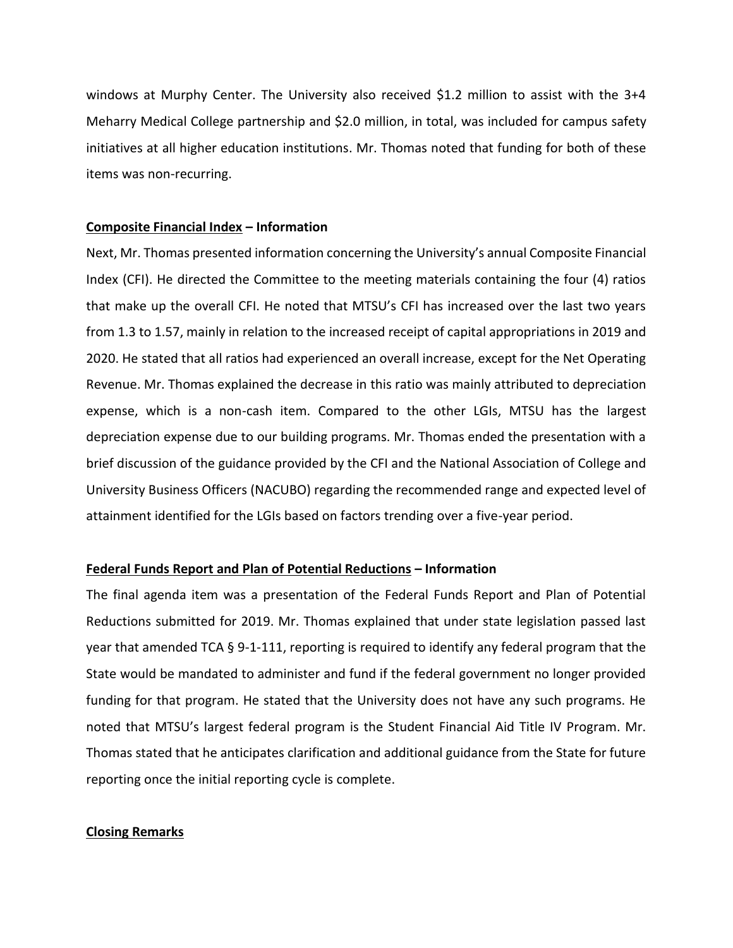windows at Murphy Center. The University also received \$1.2 million to assist with the 3+4 Meharry Medical College partnership and \$2.0 million, in total, was included for campus safety initiatives at all higher education institutions. Mr. Thomas noted that funding for both of these items was non-recurring.

### **Composite Financial Index – Information**

Next, Mr. Thomas presented information concerning the University's annual Composite Financial Index (CFI). He directed the Committee to the meeting materials containing the four (4) ratios that make up the overall CFI. He noted that MTSU's CFI has increased over the last two years from 1.3 to 1.57, mainly in relation to the increased receipt of capital appropriations in 2019 and 2020. He stated that all ratios had experienced an overall increase, except for the Net Operating Revenue. Mr. Thomas explained the decrease in this ratio was mainly attributed to depreciation expense, which is a non-cash item. Compared to the other LGIs, MTSU has the largest depreciation expense due to our building programs. Mr. Thomas ended the presentation with a brief discussion of the guidance provided by the CFI and the National Association of College and University Business Officers (NACUBO) regarding the recommended range and expected level of attainment identified for the LGIs based on factors trending over a five-year period.

### **Federal Funds Report and Plan of Potential Reductions – Information**

The final agenda item was a presentation of the Federal Funds Report and Plan of Potential Reductions submitted for 2019. Mr. Thomas explained that under state legislation passed last year that amended TCA § 9-1-111, reporting is required to identify any federal program that the State would be mandated to administer and fund if the federal government no longer provided funding for that program. He stated that the University does not have any such programs. He noted that MTSU's largest federal program is the Student Financial Aid Title IV Program. Mr. Thomas stated that he anticipates clarification and additional guidance from the State for future reporting once the initial reporting cycle is complete.

### **Closing Remarks**